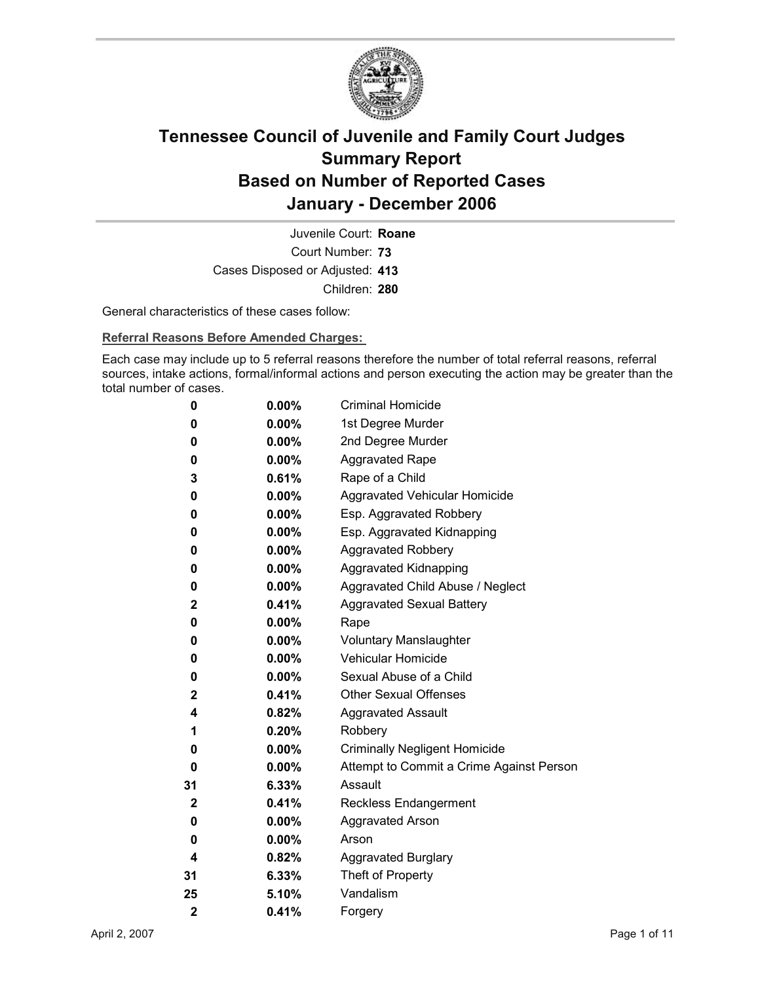

Court Number: **73** Juvenile Court: **Roane** Cases Disposed or Adjusted: **413** Children: **280**

General characteristics of these cases follow:

**Referral Reasons Before Amended Charges:** 

Each case may include up to 5 referral reasons therefore the number of total referral reasons, referral sources, intake actions, formal/informal actions and person executing the action may be greater than the total number of cases.

| 0                       | $0.00\%$ | <b>Criminal Homicide</b>                 |
|-------------------------|----------|------------------------------------------|
| 0                       | $0.00\%$ | 1st Degree Murder                        |
| 0                       | $0.00\%$ | 2nd Degree Murder                        |
| 0                       | $0.00\%$ | <b>Aggravated Rape</b>                   |
| 3                       | $0.61\%$ | Rape of a Child                          |
| 0                       | $0.00\%$ | Aggravated Vehicular Homicide            |
| 0                       | $0.00\%$ | Esp. Aggravated Robbery                  |
| 0                       | $0.00\%$ | Esp. Aggravated Kidnapping               |
| 0                       | $0.00\%$ | <b>Aggravated Robbery</b>                |
| 0                       | $0.00\%$ | <b>Aggravated Kidnapping</b>             |
| 0                       | $0.00\%$ | Aggravated Child Abuse / Neglect         |
| 2                       | $0.41\%$ | <b>Aggravated Sexual Battery</b>         |
| 0                       | $0.00\%$ | Rape                                     |
| 0                       | $0.00\%$ | <b>Voluntary Manslaughter</b>            |
| 0                       | $0.00\%$ | <b>Vehicular Homicide</b>                |
| 0                       | $0.00\%$ | Sexual Abuse of a Child                  |
| $\mathbf 2$             | 0.41%    | <b>Other Sexual Offenses</b>             |
| 4                       | $0.82\%$ | <b>Aggravated Assault</b>                |
| 1                       | 0.20%    | Robbery                                  |
| 0                       | $0.00\%$ | <b>Criminally Negligent Homicide</b>     |
| 0                       | $0.00\%$ | Attempt to Commit a Crime Against Person |
| 31                      | 6.33%    | Assault                                  |
| $\mathbf 2$             | $0.41\%$ | <b>Reckless Endangerment</b>             |
| 0                       | $0.00\%$ | <b>Aggravated Arson</b>                  |
| 0                       | $0.00\%$ | Arson                                    |
| 4                       | 0.82%    | <b>Aggravated Burglary</b>               |
| 31                      | $6.33\%$ | Theft of Property                        |
| 25                      | 5.10%    | Vandalism                                |
| $\overline{\mathbf{2}}$ | 0.41%    | Forgery                                  |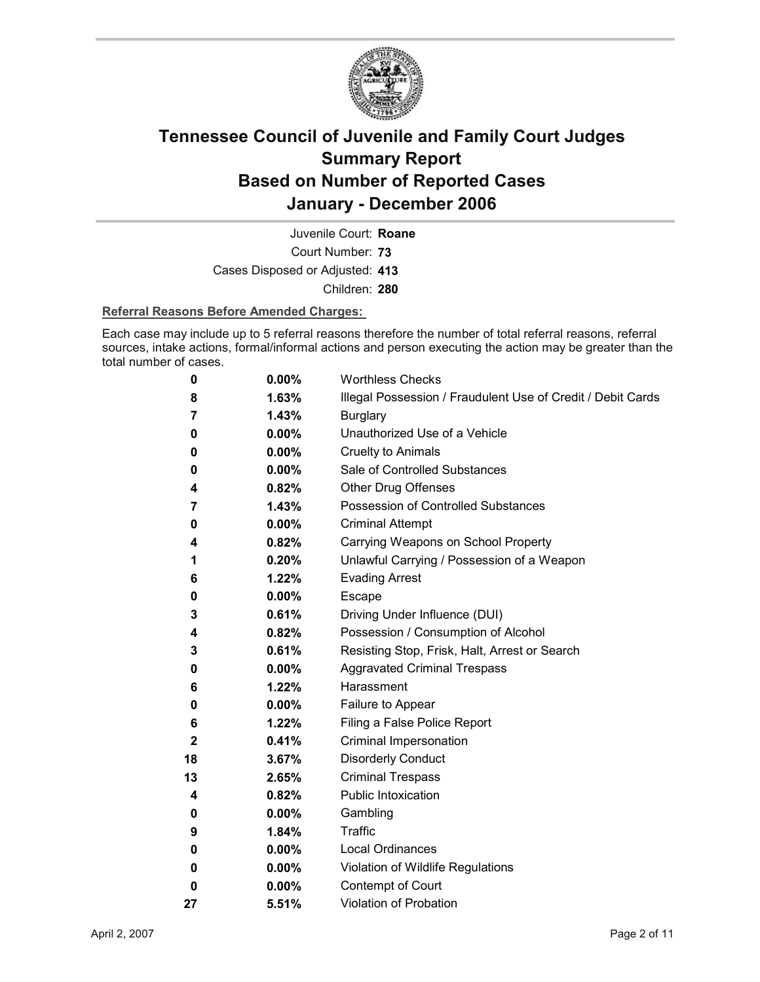

Court Number: **73** Juvenile Court: **Roane** Cases Disposed or Adjusted: **413**

Children: **280**

#### **Referral Reasons Before Amended Charges:**

Each case may include up to 5 referral reasons therefore the number of total referral reasons, referral sources, intake actions, formal/informal actions and person executing the action may be greater than the total number of cases.

| 0           | 0.00%    | <b>Worthless Checks</b>                                     |
|-------------|----------|-------------------------------------------------------------|
| 8           | 1.63%    | Illegal Possession / Fraudulent Use of Credit / Debit Cards |
| 7           | 1.43%    | <b>Burglary</b>                                             |
| 0           | 0.00%    | Unauthorized Use of a Vehicle                               |
| 0           | 0.00%    | <b>Cruelty to Animals</b>                                   |
| 0           | $0.00\%$ | Sale of Controlled Substances                               |
| 4           | 0.82%    | <b>Other Drug Offenses</b>                                  |
| 7           | 1.43%    | Possession of Controlled Substances                         |
| 0           | 0.00%    | <b>Criminal Attempt</b>                                     |
| 4           | 0.82%    | Carrying Weapons on School Property                         |
| 1           | 0.20%    | Unlawful Carrying / Possession of a Weapon                  |
| 6           | 1.22%    | <b>Evading Arrest</b>                                       |
| 0           | $0.00\%$ | <b>Escape</b>                                               |
| 3           | 0.61%    | Driving Under Influence (DUI)                               |
| 4           | 0.82%    | Possession / Consumption of Alcohol                         |
| 3           | 0.61%    | Resisting Stop, Frisk, Halt, Arrest or Search               |
| 0           | 0.00%    | <b>Aggravated Criminal Trespass</b>                         |
| 6           | 1.22%    | Harassment                                                  |
| 0           | $0.00\%$ | Failure to Appear                                           |
| 6           | 1.22%    | Filing a False Police Report                                |
| $\mathbf 2$ | 0.41%    | Criminal Impersonation                                      |
| 18          | 3.67%    | <b>Disorderly Conduct</b>                                   |
| 13          | 2.65%    | <b>Criminal Trespass</b>                                    |
| 4           | 0.82%    | <b>Public Intoxication</b>                                  |
| 0           | $0.00\%$ | Gambling                                                    |
| 9           | 1.84%    | <b>Traffic</b>                                              |
| 0           | 0.00%    | <b>Local Ordinances</b>                                     |
| 0           | 0.00%    | Violation of Wildlife Regulations                           |
| 0           | 0.00%    | Contempt of Court                                           |
| 27          | 5.51%    | <b>Violation of Probation</b>                               |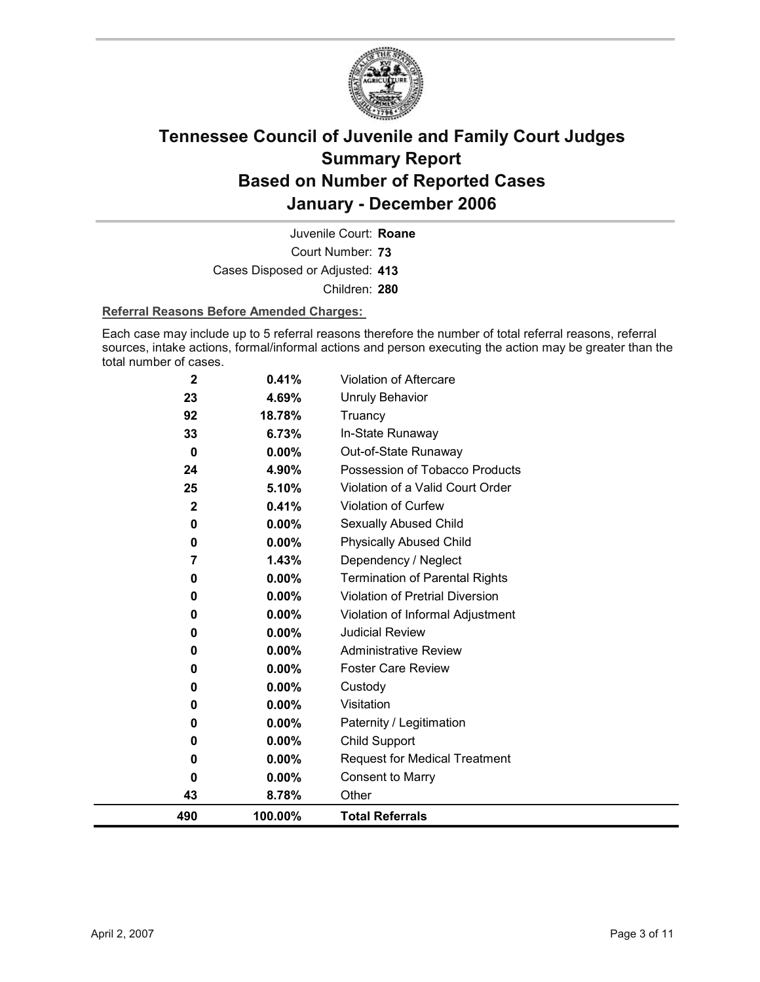

Court Number: **73** Juvenile Court: **Roane** Cases Disposed or Adjusted: **413** Children: **280**

#### **Referral Reasons Before Amended Charges:**

Each case may include up to 5 referral reasons therefore the number of total referral reasons, referral sources, intake actions, formal/informal actions and person executing the action may be greater than the total number of cases.

| 490         | 100.00%         | <b>Total Referrals</b>                 |
|-------------|-----------------|----------------------------------------|
| 43          | 8.78%           | Other                                  |
| 0           | $0.00\%$        | <b>Consent to Marry</b>                |
| 0           | $0.00\%$        | <b>Request for Medical Treatment</b>   |
| 0           | $0.00\%$        | Child Support                          |
| 0           | $0.00\%$        | Paternity / Legitimation               |
| 0           | 0.00%           | Visitation                             |
| 0           | 0.00%           | Custody                                |
| 0           | $0.00\%$        | <b>Foster Care Review</b>              |
| 0           | $0.00\%$        | <b>Administrative Review</b>           |
| 0           | $0.00\%$        | <b>Judicial Review</b>                 |
| 0           | 0.00%           | Violation of Informal Adjustment       |
| 0           | 0.00%           | <b>Violation of Pretrial Diversion</b> |
| 0           | 0.00%           | <b>Termination of Parental Rights</b>  |
| 7           | 1.43%           | Dependency / Neglect                   |
| 0           | 0.00%           | <b>Physically Abused Child</b>         |
| 0           | 0.00%           | Sexually Abused Child                  |
| $\mathbf 2$ | 0.41%           | <b>Violation of Curfew</b>             |
| 25          | 5.10%           | Violation of a Valid Court Order       |
| 24          | 4.90%           | Possession of Tobacco Products         |
| $\bf{0}$    | $0.00\%$        | Out-of-State Runaway                   |
| 33          | 6.73%           | In-State Runaway                       |
| 23<br>92    | 4.69%<br>18.78% | <b>Unruly Behavior</b><br>Truancy      |
| $\mathbf 2$ | 0.41%           | <b>Violation of Aftercare</b>          |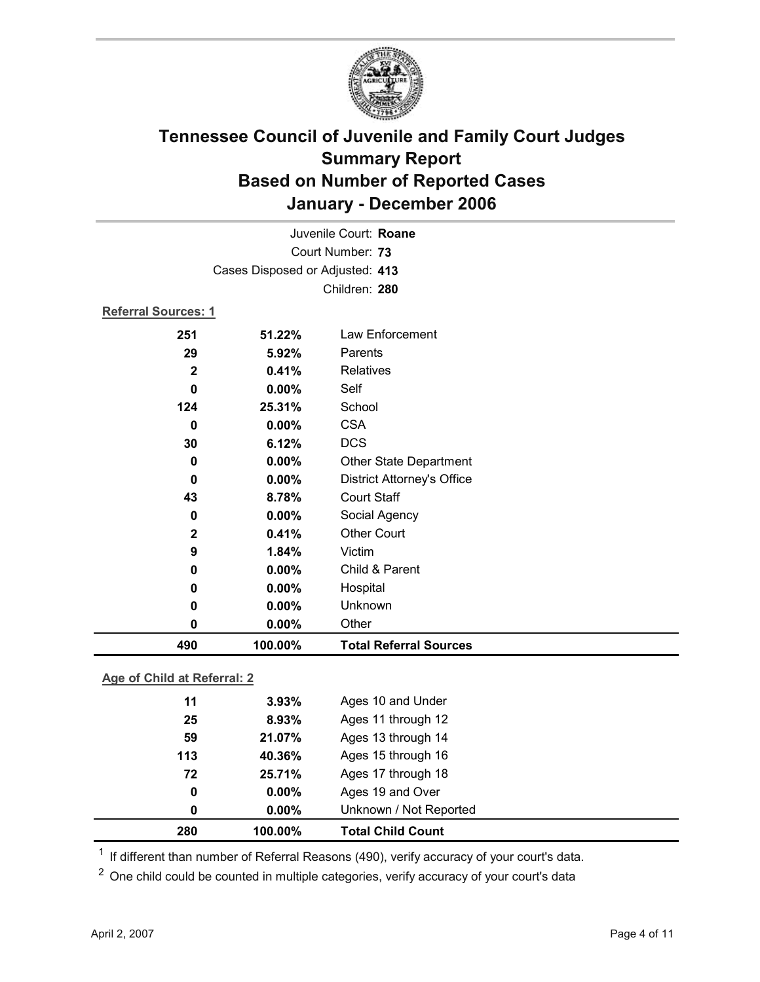

| Juvenile Court: Roane           |                  |                                   |                             |  |  |  |
|---------------------------------|------------------|-----------------------------------|-----------------------------|--|--|--|
|                                 | Court Number: 73 |                                   |                             |  |  |  |
| Cases Disposed or Adjusted: 413 |                  |                                   |                             |  |  |  |
| Children: 280                   |                  |                                   |                             |  |  |  |
| <b>Referral Sources: 1</b>      |                  |                                   |                             |  |  |  |
| 251                             | 51.22%           | Law Enforcement                   |                             |  |  |  |
| 29                              | 5.92%            | Parents                           |                             |  |  |  |
| $\mathbf{2}$                    | 0.41%            | Relatives                         |                             |  |  |  |
| $\bf{0}$                        | 0.00%            | Self                              |                             |  |  |  |
| 124                             | 25.31%           | School                            |                             |  |  |  |
| 0                               | 0.00%            | <b>CSA</b>                        |                             |  |  |  |
| 30                              | 6.12%            | <b>DCS</b>                        |                             |  |  |  |
| $\bf{0}$                        | 0.00%            | Other State Department            |                             |  |  |  |
| 0                               | 0.00%            | <b>District Attorney's Office</b> |                             |  |  |  |
| 43                              | 8.78%            | <b>Court Staff</b>                |                             |  |  |  |
| 0                               | 0.00%            | Social Agency                     |                             |  |  |  |
| $\mathbf 2$                     | 0.41%            | <b>Other Court</b>                |                             |  |  |  |
| 9                               | 1.84%            | Victim                            |                             |  |  |  |
| 0                               | 0.00%            | Child & Parent                    |                             |  |  |  |
| 0                               | 0.00%            | Hospital                          |                             |  |  |  |
| 0                               | 0.00%            | Unknown                           |                             |  |  |  |
| 0                               | 0.00%            | Other                             |                             |  |  |  |
| 490                             | 100.00%          | <b>Total Referral Sources</b>     |                             |  |  |  |
|                                 |                  |                                   | Age of Child at Referral: 2 |  |  |  |

**Age of Child at Referral: 2**

| 280 | 100.00%  | <b>Total Child Count</b> |
|-----|----------|--------------------------|
| 0   | $0.00\%$ | Unknown / Not Reported   |
| 0   | $0.00\%$ | Ages 19 and Over         |
| 72  | 25.71%   | Ages 17 through 18       |
| 113 | 40.36%   | Ages 15 through 16       |
| 59  | 21.07%   | Ages 13 through 14       |
| 25  | 8.93%    | Ages 11 through 12       |
| 11  | 3.93%    | Ages 10 and Under        |
|     |          |                          |

<sup>1</sup> If different than number of Referral Reasons (490), verify accuracy of your court's data.

<sup>2</sup> One child could be counted in multiple categories, verify accuracy of your court's data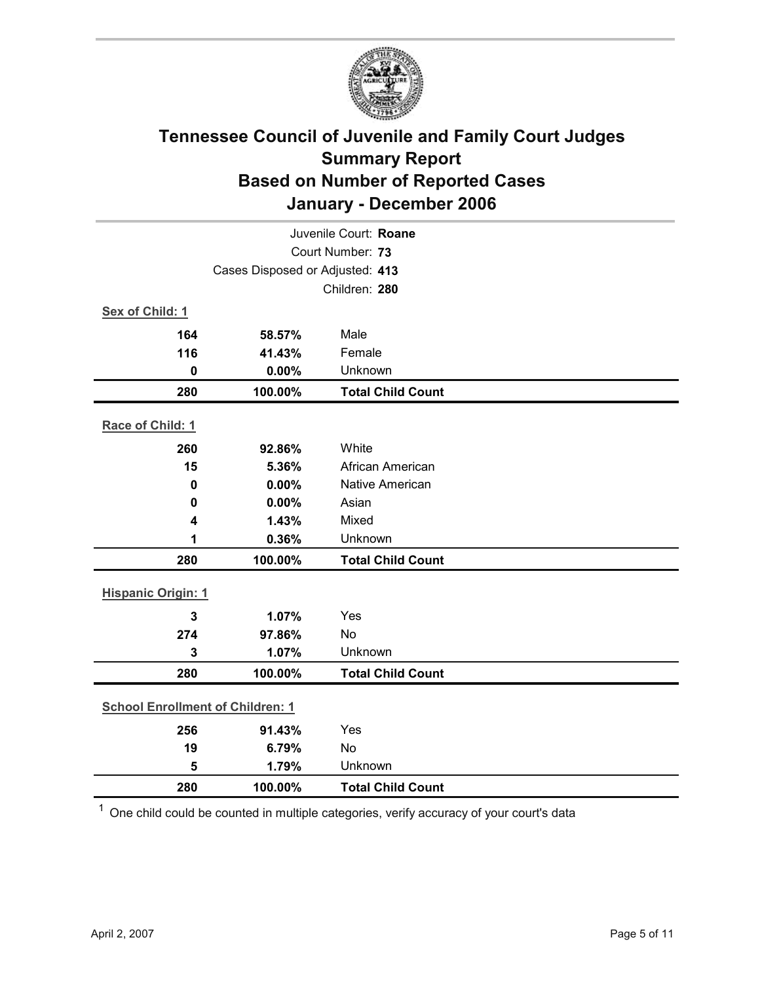

| Juvenile Court: Roane                   |                                 |                          |  |  |
|-----------------------------------------|---------------------------------|--------------------------|--|--|
|                                         | Court Number: 73                |                          |  |  |
|                                         | Cases Disposed or Adjusted: 413 |                          |  |  |
|                                         |                                 | Children: 280            |  |  |
| Sex of Child: 1                         |                                 |                          |  |  |
| 164                                     | 58.57%                          | Male                     |  |  |
| 116                                     | 41.43%                          | Female                   |  |  |
| $\mathbf 0$                             | 0.00%                           | Unknown                  |  |  |
| 280                                     | 100.00%                         | <b>Total Child Count</b> |  |  |
| Race of Child: 1                        |                                 |                          |  |  |
| 260                                     | 92.86%                          | White                    |  |  |
| 15                                      | 5.36%                           | African American         |  |  |
| $\mathbf 0$                             | 0.00%                           | <b>Native American</b>   |  |  |
| 0                                       | 0.00%                           | Asian                    |  |  |
| 4                                       | 1.43%                           | Mixed                    |  |  |
| 1                                       | 0.36%                           | Unknown                  |  |  |
| 280                                     | 100.00%                         | <b>Total Child Count</b> |  |  |
| <b>Hispanic Origin: 1</b>               |                                 |                          |  |  |
| $\overline{3}$                          | 1.07%                           | Yes                      |  |  |
| 274                                     | 97.86%                          | No                       |  |  |
| 3                                       | 1.07%                           | Unknown                  |  |  |
| 280                                     | 100.00%                         | <b>Total Child Count</b> |  |  |
| <b>School Enrollment of Children: 1</b> |                                 |                          |  |  |
| 256                                     | 91.43%                          | Yes                      |  |  |
| 19                                      | 6.79%                           | No                       |  |  |
| 5                                       | 1.79%                           | Unknown                  |  |  |
| 280                                     | 100.00%                         | <b>Total Child Count</b> |  |  |

 $1$  One child could be counted in multiple categories, verify accuracy of your court's data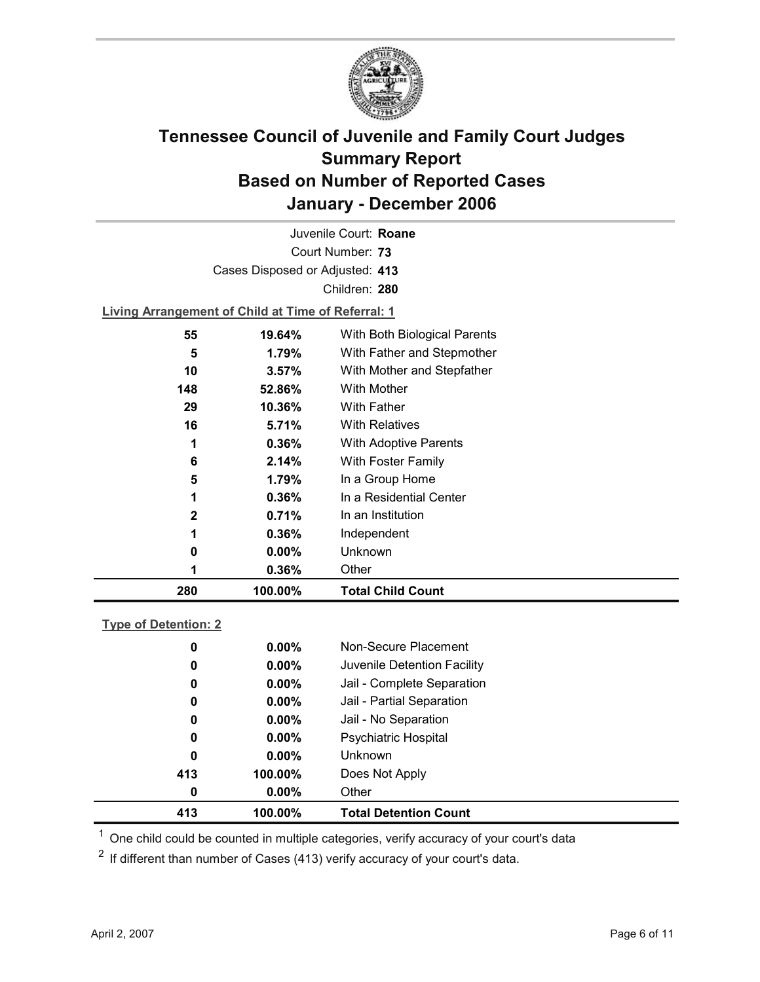

Court Number: **73** Juvenile Court: **Roane** Cases Disposed or Adjusted: **413** Children: **280 Living Arrangement of Child at Time of Referral: 1 55 19.64%** With Both Biological Parents **5 1.79%** With Father and Stepmother

| 280 | 100.00%  | <b>Total Child Count</b>     |
|-----|----------|------------------------------|
| 1   | 0.36%    | Other                        |
| 0   | $0.00\%$ | Unknown                      |
| 1   | 0.36%    | Independent                  |
| 2   | 0.71%    | In an Institution            |
| 1   | 0.36%    | In a Residential Center      |
| 5   | 1.79%    | In a Group Home              |
| 6   | 2.14%    | With Foster Family           |
| 1   | 0.36%    | <b>With Adoptive Parents</b> |
| 16  | 5.71%    | <b>With Relatives</b>        |
| 29  | 10.36%   | <b>With Father</b>           |
| 148 | 52.86%   | With Mother                  |
| 10  | 3.57%    | With Mother and Stepfather   |
| 5   | 1.79%    | With Father and Stepmother   |

#### **Type of Detention: 2**

| 413 | 100.00%  | <b>Total Detention Count</b> |
|-----|----------|------------------------------|
| 0   | $0.00\%$ | Other                        |
| 413 | 100.00%  | Does Not Apply               |
| 0   | $0.00\%$ | <b>Unknown</b>               |
| 0   | $0.00\%$ | <b>Psychiatric Hospital</b>  |
| 0   | $0.00\%$ | Jail - No Separation         |
| 0   | $0.00\%$ | Jail - Partial Separation    |
| 0   | $0.00\%$ | Jail - Complete Separation   |
| 0   | $0.00\%$ | Juvenile Detention Facility  |
| 0   | $0.00\%$ | Non-Secure Placement         |
|     |          |                              |

 $<sup>1</sup>$  One child could be counted in multiple categories, verify accuracy of your court's data</sup>

 $2$  If different than number of Cases (413) verify accuracy of your court's data.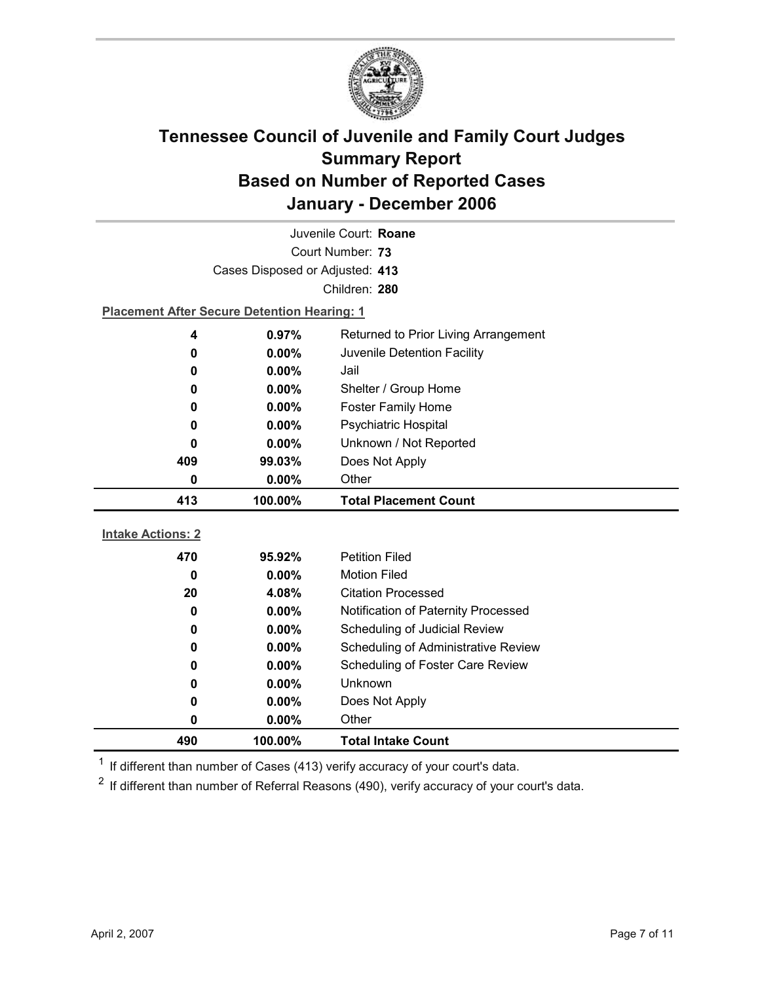

| Juvenile Court: Roane    |                                                    |                                      |  |  |
|--------------------------|----------------------------------------------------|--------------------------------------|--|--|
| Court Number: 73         |                                                    |                                      |  |  |
|                          | Cases Disposed or Adjusted: 413                    |                                      |  |  |
|                          |                                                    | Children: 280                        |  |  |
|                          | <b>Placement After Secure Detention Hearing: 1</b> |                                      |  |  |
| 4                        | 0.97%                                              | Returned to Prior Living Arrangement |  |  |
| 0                        | 0.00%                                              | Juvenile Detention Facility          |  |  |
| 0                        | $0.00\%$                                           | Jail                                 |  |  |
| 0                        | $0.00\%$                                           | Shelter / Group Home                 |  |  |
| 0                        | $0.00\%$                                           | <b>Foster Family Home</b>            |  |  |
| 0                        | 0.00%                                              | Psychiatric Hospital                 |  |  |
| 0                        | $0.00\%$                                           | Unknown / Not Reported               |  |  |
| 409                      | 99.03%                                             | Does Not Apply                       |  |  |
| 0                        | $0.00\%$                                           | Other                                |  |  |
|                          |                                                    |                                      |  |  |
| 413                      | 100.00%                                            | <b>Total Placement Count</b>         |  |  |
|                          |                                                    |                                      |  |  |
| <b>Intake Actions: 2</b> |                                                    |                                      |  |  |
| 470                      | 95.92%                                             | <b>Petition Filed</b>                |  |  |
| 0                        | $0.00\%$                                           | <b>Motion Filed</b>                  |  |  |
| 20                       | 4.08%                                              | <b>Citation Processed</b>            |  |  |
| 0                        | $0.00\%$                                           | Notification of Paternity Processed  |  |  |
| 0                        | $0.00\%$                                           | Scheduling of Judicial Review        |  |  |
| 0                        | 0.00%                                              | Scheduling of Administrative Review  |  |  |
| 0                        | $0.00\%$                                           | Scheduling of Foster Care Review     |  |  |
| 0                        | 0.00%                                              | Unknown                              |  |  |
| 0                        | $0.00\%$                                           | Does Not Apply                       |  |  |
| 0                        | 0.00%                                              | Other                                |  |  |

 $1$  If different than number of Cases (413) verify accuracy of your court's data.

 $2$  If different than number of Referral Reasons (490), verify accuracy of your court's data.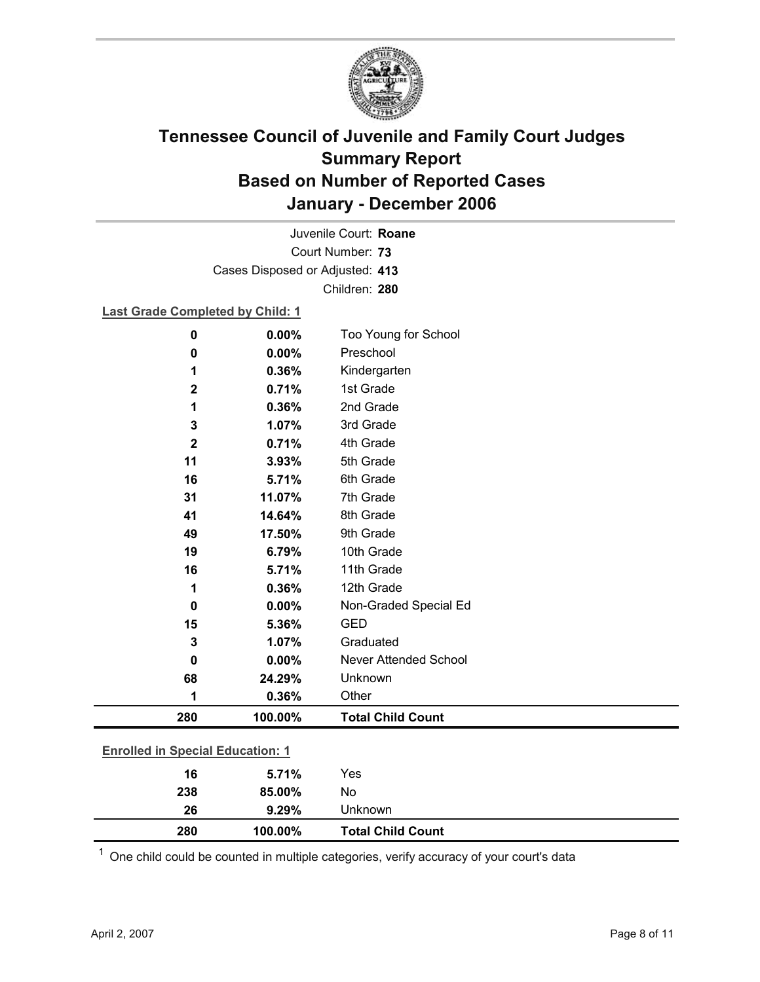

Court Number: **73** Juvenile Court: **Roane** Cases Disposed or Adjusted: **413** Children: **280**

### **Last Grade Completed by Child: 1**

| $\bf{0}$                                | 0.00%   | Too Young for School         |  |
|-----------------------------------------|---------|------------------------------|--|
| 0                                       | 0.00%   | Preschool                    |  |
| 1                                       | 0.36%   | Kindergarten                 |  |
| $\mathbf 2$                             | 0.71%   | 1st Grade                    |  |
| 1                                       | 0.36%   | 2nd Grade                    |  |
| 3                                       | 1.07%   | 3rd Grade                    |  |
| $\mathbf{2}$                            | 0.71%   | 4th Grade                    |  |
| 11                                      | 3.93%   | 5th Grade                    |  |
| 16                                      | 5.71%   | 6th Grade                    |  |
| 31                                      | 11.07%  | 7th Grade                    |  |
| 41                                      | 14.64%  | 8th Grade                    |  |
| 49                                      | 17.50%  | 9th Grade                    |  |
| 19                                      | 6.79%   | 10th Grade                   |  |
| 16                                      | 5.71%   | 11th Grade                   |  |
| 1                                       | 0.36%   | 12th Grade                   |  |
| $\bf{0}$                                | 0.00%   | Non-Graded Special Ed        |  |
| 15                                      | 5.36%   | <b>GED</b>                   |  |
| 3                                       | 1.07%   | Graduated                    |  |
| 0                                       | 0.00%   | <b>Never Attended School</b> |  |
| 68                                      | 24.29%  | Unknown                      |  |
| 1                                       | 0.36%   | Other                        |  |
| 280                                     | 100.00% | <b>Total Child Count</b>     |  |
| <b>Enrolled in Special Education: 1</b> |         |                              |  |
| 16                                      | 5.71%   | Yes                          |  |
| 238                                     | 85.00%  | No                           |  |

 $1$  One child could be counted in multiple categories, verify accuracy of your court's data

**26 9.29%** Unknown

**280 100.00% Total Child Count**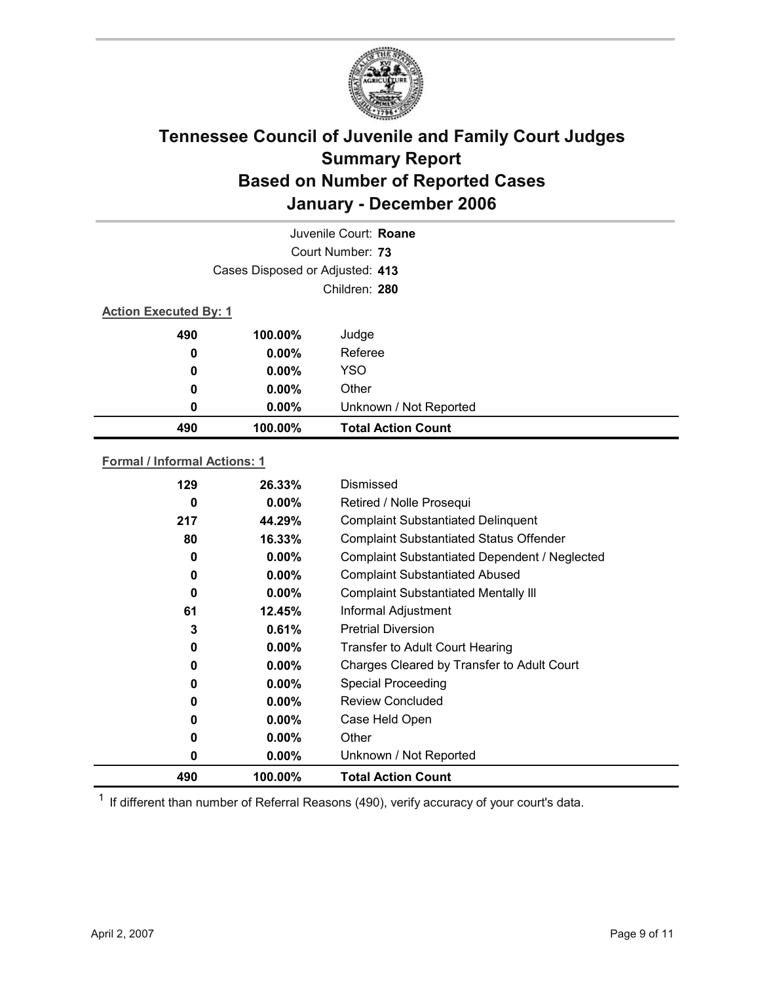

|     |                                 | Juvenile Court: Roane     |  |  |
|-----|---------------------------------|---------------------------|--|--|
|     |                                 | Court Number: 73          |  |  |
|     | Cases Disposed or Adjusted: 413 |                           |  |  |
|     | Children: 280                   |                           |  |  |
|     | <b>Action Executed By: 1</b>    |                           |  |  |
| 490 | 100.00%                         | Judge                     |  |  |
| 0   | $0.00\%$                        | Referee                   |  |  |
| 0   | $0.00\%$                        | <b>YSO</b>                |  |  |
| 0   | $0.00\%$                        | Other                     |  |  |
| 0   | 0.00%                           | Unknown / Not Reported    |  |  |
| 490 | 100.00%                         | <b>Total Action Count</b> |  |  |
|     |                                 |                           |  |  |

### **Formal / Informal Actions: 1**

| 129      | 26.33%   | Dismissed                                            |
|----------|----------|------------------------------------------------------|
| 0        | $0.00\%$ | Retired / Nolle Prosequi                             |
| 217      | 44.29%   | <b>Complaint Substantiated Delinquent</b>            |
| 80       | 16.33%   | <b>Complaint Substantiated Status Offender</b>       |
| $\bf{0}$ | 0.00%    | <b>Complaint Substantiated Dependent / Neglected</b> |
| 0        | $0.00\%$ | <b>Complaint Substantiated Abused</b>                |
| 0        | $0.00\%$ | <b>Complaint Substantiated Mentally III</b>          |
| 61       | 12.45%   | Informal Adjustment                                  |
| 3        | 0.61%    | <b>Pretrial Diversion</b>                            |
| 0        | $0.00\%$ | <b>Transfer to Adult Court Hearing</b>               |
| 0        | $0.00\%$ | Charges Cleared by Transfer to Adult Court           |
| 0        | $0.00\%$ | <b>Special Proceeding</b>                            |
| 0        | $0.00\%$ | <b>Review Concluded</b>                              |
| 0        | $0.00\%$ | Case Held Open                                       |
| 0        | $0.00\%$ | Other                                                |
| 0        | $0.00\%$ | Unknown / Not Reported                               |
| 490      | 100.00%  | <b>Total Action Count</b>                            |

 $1$  If different than number of Referral Reasons (490), verify accuracy of your court's data.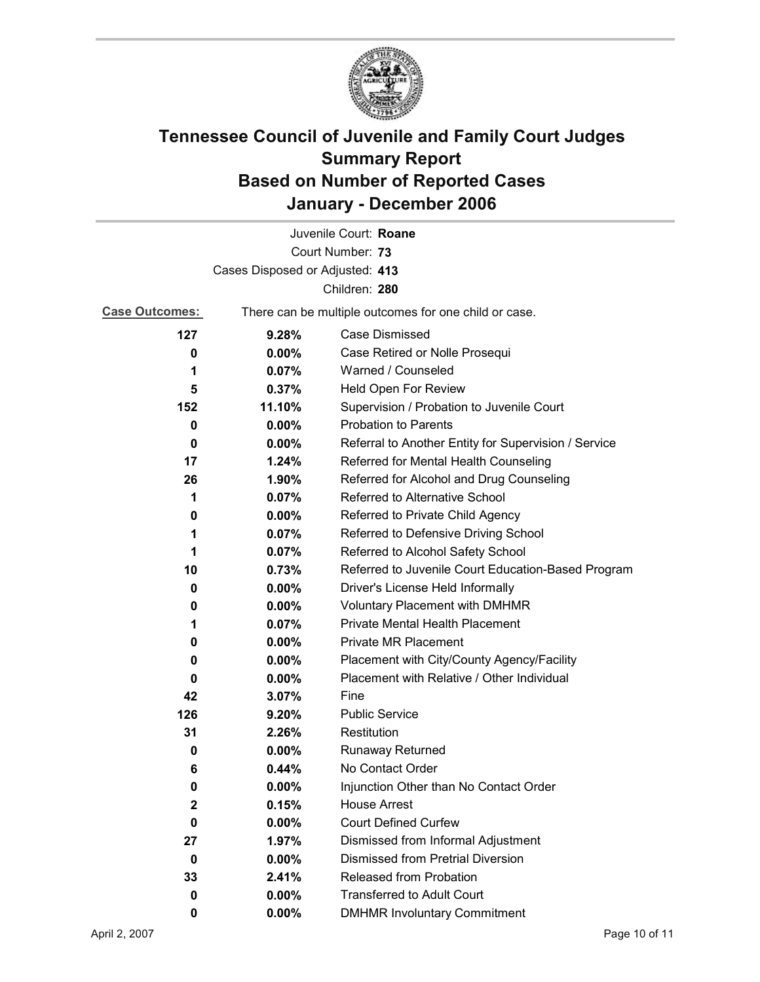

|                                 |          | Juvenile Court: Roane                                 |
|---------------------------------|----------|-------------------------------------------------------|
|                                 |          | Court Number: 73                                      |
| Cases Disposed or Adjusted: 413 |          |                                                       |
|                                 |          | Children: 280                                         |
| <b>Case Outcomes:</b>           |          | There can be multiple outcomes for one child or case. |
| 127                             | 9.28%    | Case Dismissed                                        |
| 0                               | $0.00\%$ | Case Retired or Nolle Prosequi                        |
| 1                               | 0.07%    | Warned / Counseled                                    |
| 5                               | 0.37%    | Held Open For Review                                  |
| 152                             | 11.10%   | Supervision / Probation to Juvenile Court             |
| 0                               | $0.00\%$ | <b>Probation to Parents</b>                           |
| 0                               | $0.00\%$ | Referral to Another Entity for Supervision / Service  |
| 17                              | 1.24%    | Referred for Mental Health Counseling                 |
| 26                              | 1.90%    | Referred for Alcohol and Drug Counseling              |
| 1                               | 0.07%    | Referred to Alternative School                        |
| 0                               | $0.00\%$ | Referred to Private Child Agency                      |
| 1                               | 0.07%    | Referred to Defensive Driving School                  |
| 1                               | 0.07%    | Referred to Alcohol Safety School                     |
| 10                              | 0.73%    | Referred to Juvenile Court Education-Based Program    |
| 0                               | $0.00\%$ | Driver's License Held Informally                      |
| 0                               | $0.00\%$ | Voluntary Placement with DMHMR                        |
| 1                               | 0.07%    | <b>Private Mental Health Placement</b>                |
| 0                               | $0.00\%$ | <b>Private MR Placement</b>                           |
| 0                               | $0.00\%$ | Placement with City/County Agency/Facility            |
| 0                               | $0.00\%$ | Placement with Relative / Other Individual            |
| 42                              | 3.07%    | Fine                                                  |
| 126                             | 9.20%    | <b>Public Service</b>                                 |
| 31                              | 2.26%    | Restitution                                           |
| 0                               | 0.00%    | <b>Runaway Returned</b>                               |
| 6                               | 0.44%    | No Contact Order                                      |
| 0                               | 0.00%    | Injunction Other than No Contact Order                |
| 2                               | 0.15%    | <b>House Arrest</b>                                   |
| 0                               | $0.00\%$ | <b>Court Defined Curfew</b>                           |
| 27                              | $1.97\%$ | Dismissed from Informal Adjustment                    |
| 0                               | 0.00%    | <b>Dismissed from Pretrial Diversion</b>              |
| 33                              | 2.41%    | <b>Released from Probation</b>                        |
| 0                               | $0.00\%$ | <b>Transferred to Adult Court</b>                     |
| 0                               | 0.00%    | <b>DMHMR Involuntary Commitment</b>                   |